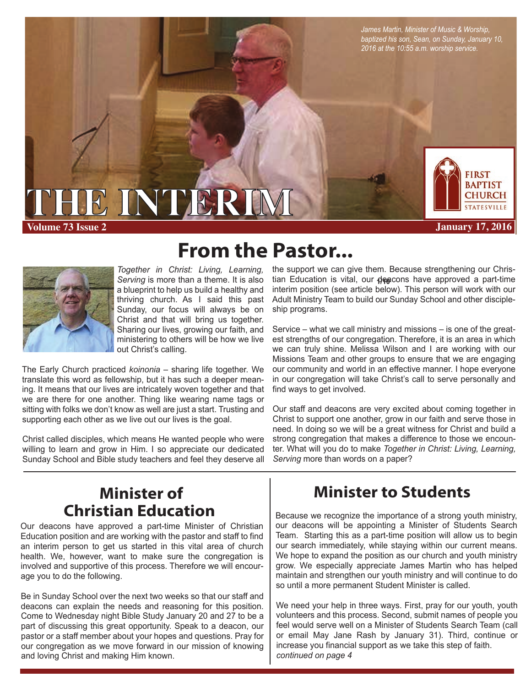*James Martin, Minister of Music & Worship, baptized his son, Sean, on Sunday, January 10, 2016 at the 10:55 a.m. worship service.*



**Volume 73 Issue 2 January 17, 2016**



*Together in Christ: Living, Learning, Serving* is more than a theme. It is also a blueprint to help us build a healthy and thriving church. As I said this past Sunday, our focus will always be on Christ and that will bring us together. Sharing our lives, growing our faith, and ministering to others will be how we live out Christ's calling.

The Early Church practiced *koinonia* – sharing life together. We translate this word as fellowship, but it has such a deeper meaning. It means that our lives are intricately woven together and that we are there for one another. Thing like wearing name tags or sitting with folks we don't know as well are just a start. Trusting and supporting each other as we live out our lives is the goal.

**THE INTERIMAL** 

Christ called disciples, which means He wanted people who were willing to learn and grow in Him. I so appreciate our dedicated Sunday School and Bible study teachers and feel they deserve all

# **From the Pastor...**

tian Education is vital, our **dea**cons have approved a part-time the support we can give them. Because strengthening our Chrisinterim position (see article below). This person will work with our Adult Ministry Team to build our Sunday School and other discipleship programs.

Service – what we call ministry and missions – is one of the greatest strengths of our congregation. Therefore, it is an area in which we can truly shine. Melissa Wilson and I are working with our Missions Team and other groups to ensure that we are engaging our community and world in an effective manner. I hope everyone in our congregation will take Christ's call to serve personally and find ways to get involved.

Our staff and deacons are very excited about coming together in Christ to support one another, grow in our faith and serve those in need. In doing so we will be a great witness for Christ and build a strong congregation that makes a difference to those we encounter. What will you do to make *Together in Christ: Living, Learning, Serving* more than words on a paper?

## **Minister of Christian Education Because we recognize the importance of a strong youth ministry,**

Our deacons have approved a part-time Minister of Christian Education position and are working with the pastor and staff to find an interim person to get us started in this vital area of church health. We, however, want to make sure the congregation is involved and supportive of this process. Therefore we will encourage you to do the following.

Be in Sunday School over the next two weeks so that our staff and deacons can explain the needs and reasoning for this position. Come to Wednesday night Bible Study January 20 and 27 to be a part of discussing this great opportunity. Speak to a deacon, our pastor or a staff member about your hopes and questions. Pray for our congregation as we move forward in our mission of knowing and loving Christ and making Him known.

## **Minister to Students**

 our search immediately, while staying within our current means. our deacons will be appointing a Minister of Students Search Team. Starting this as a part-time position will allow us to begin We hope to expand the position as our church and youth ministry grow. We especially appreciate James Martin who has helped maintain and strengthen our youth ministry and will continue to do so until a more permanent Student Minister is called.

We need your help in three ways. First, pray for our youth, youth volunteers and this process. Second, submit names of people you feel would serve well on a Minister of Students Search Team (call or email May Jane Rash by January 31). Third, continue or increase you financial support as we take this step of faith. *continued on page 4*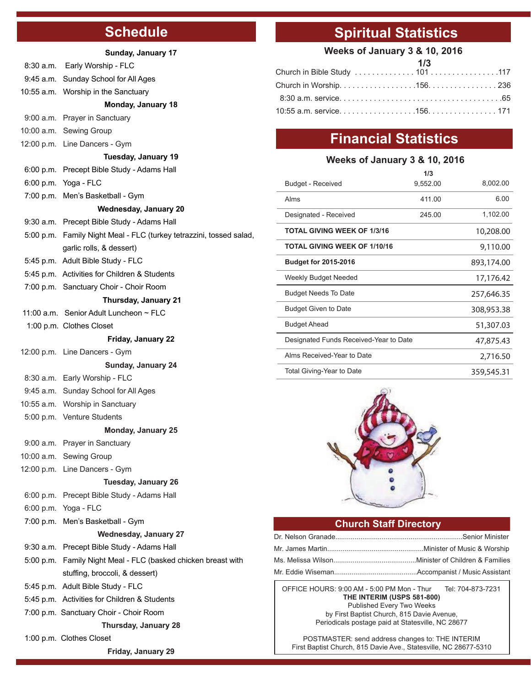## **Schedule**

#### **Sunday, January 17**

|                              | 8:30 a.m. Early Worship - FLC                                       |  |  |  |
|------------------------------|---------------------------------------------------------------------|--|--|--|
|                              | 9:45 a.m. Sunday School for All Ages                                |  |  |  |
|                              | 10:55 a.m. Worship in the Sanctuary                                 |  |  |  |
|                              | Monday, January 18                                                  |  |  |  |
|                              | 9:00 a.m. Prayer in Sanctuary                                       |  |  |  |
|                              | 10:00 a.m. Sewing Group                                             |  |  |  |
|                              | 12:00 p.m. Line Dancers - Gym                                       |  |  |  |
| Tuesday, January 19          |                                                                     |  |  |  |
|                              | 6:00 p.m. Precept Bible Study - Adams Hall                          |  |  |  |
|                              | 6:00 p.m. Yoga - FLC                                                |  |  |  |
|                              | 7:00 p.m. Men's Basketball - Gym                                    |  |  |  |
| <b>Wednesday, January 20</b> |                                                                     |  |  |  |
|                              | 9:30 a.m. Precept Bible Study - Adams Hall                          |  |  |  |
|                              | 5:00 p.m. Family Night Meal - FLC (turkey tetrazzini, tossed salad, |  |  |  |
|                              | garlic rolls, & dessert)                                            |  |  |  |
|                              | 5:45 p.m. Adult Bible Study - FLC                                   |  |  |  |
|                              | 5:45 p.m. Activities for Children & Students                        |  |  |  |
|                              | 7:00 p.m. Sanctuary Choir - Choir Room                              |  |  |  |
| Thursday, January 21         |                                                                     |  |  |  |
|                              | 11:00 a.m. Senior Adult Luncheon $\sim$ FLC                         |  |  |  |
|                              | 1:00 p.m. Clothes Closet                                            |  |  |  |
|                              | Friday, January 22                                                  |  |  |  |
|                              | 12:00 p.m. Line Dancers - Gym                                       |  |  |  |
|                              | Sunday, January 24                                                  |  |  |  |
|                              | 8:30 a.m. Early Worship - FLC                                       |  |  |  |
|                              | 9:45 a.m. Sunday School for All Ages                                |  |  |  |
|                              | 10:55 a.m. Worship in Sanctuary                                     |  |  |  |
|                              | 5:00 p.m. Venture Students                                          |  |  |  |
|                              | <b>Monday, January 25</b>                                           |  |  |  |
|                              | 9:00 a.m. Prayer in Sanctuary                                       |  |  |  |
|                              | 10:00 a.m. Sewing Group                                             |  |  |  |
|                              | 12:00 p.m. Line Dancers - Gym                                       |  |  |  |
|                              | <b>Tuesday, January 26</b>                                          |  |  |  |
|                              | 6:00 p.m. Precept Bible Study - Adams Hall                          |  |  |  |
|                              | 6:00 p.m. Yoga - FLC                                                |  |  |  |
|                              | 7:00 p.m. Men's Basketball - Gym                                    |  |  |  |
|                              | <b>Wednesday, January 27</b>                                        |  |  |  |
|                              | 9:30 a.m. Precept Bible Study - Adams Hall                          |  |  |  |
|                              | 5:00 p.m. Family Night Meal - FLC (basked chicken breast with       |  |  |  |
|                              | stuffing, broccoli, & dessert)                                      |  |  |  |
|                              | 5:45 p.m. Adult Bible Study - FLC                                   |  |  |  |
|                              | 5:45 p.m. Activities for Children & Students                        |  |  |  |
|                              | 7:00 p.m. Sanctuary Choir - Choir Room                              |  |  |  |
| <b>Thursday, January 28</b>  |                                                                     |  |  |  |
|                              | 1:00 p.m. Clothes Closet                                            |  |  |  |

**Friday, January 29**

## **Spiritual Statistics**

### **Weeks of January 3 & 10, 2016**

| Church in Worship. 156. 236  |  |
|------------------------------|--|
|                              |  |
| 10:55 a.m. service. 156. 171 |  |

## **Financial Statistics**

### **Weeks of January 3 & 10, 2016**

|                                        | 1/3        |            |
|----------------------------------------|------------|------------|
| Budget - Received                      | 9,552.00   | 8,002.00   |
| Alms                                   | 411.00     | 6.00       |
| Designated - Received                  | 245.00     | 1,102.00   |
| <b>TOTAL GIVING WEEK OF 1/3/16</b>     | 10,208.00  |            |
| <b>TOTAL GIVING WEEK OF 1/10/16</b>    | 9,110.00   |            |
| <b>Budget for 2015-2016</b>            |            | 893,174.00 |
| Weekly Budget Needed                   |            | 17,176.42  |
| <b>Budget Needs To Date</b>            |            | 257,646.35 |
| <b>Budget Given to Date</b>            |            | 308,953.38 |
| <b>Budget Ahead</b>                    | 51,307.03  |            |
| Designated Funds Received-Year to Date | 47,875.43  |            |
| Alms Received-Year to Date             | 2,716.50   |            |
| Total Giving-Year to Date              | 359,545.31 |            |
|                                        |            |            |



### **Church Staff Directory**

OFFICE HOURS: 9:00 AM - 5:00 PM Mon - Thur Tel: 704-873-7231 **THE INTERIM (USPS 581-800)** Published Every Two Weeks by First Baptist Church, 815 Davie Avenue, Periodicals postage paid at Statesville, NC 28677

POSTMASTER: send address changes to: THE INTERIM First Baptist Church, 815 Davie Ave., Statesville, NC 28677-5310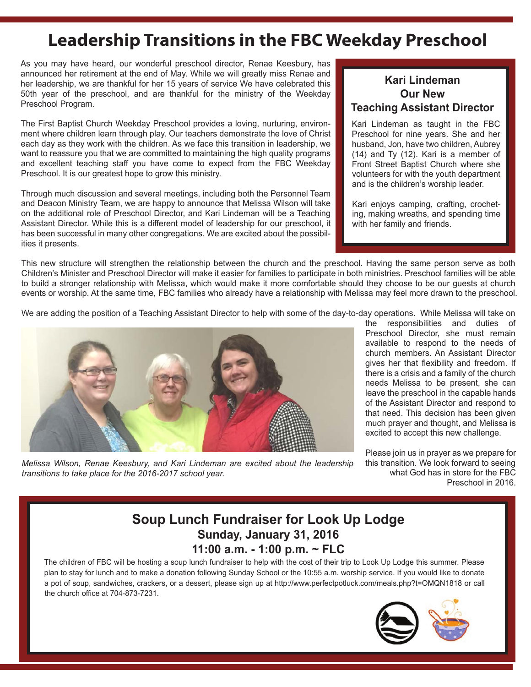## **Leadership Transitions in the FBC Weekday Preschool**

As you may have heard, our wonderful preschool director, Renae Keesbury, has announced her retirement at the end of May. While we will greatly miss Renae and her leadership, we are thankful for her 15 years of service We have celebrated this 50th year of the preschool, and are thankful for the ministry of the Weekday Preschool Program.

The First Baptist Church Weekday Preschool provides a loving, nurturing, environment where children learn through play. Our teachers demonstrate the love of Christ each day as they work with the children. As we face this transition in leadership, we want to reassure you that we are committed to maintaining the high quality programs and excellent teaching staff you have come to expect from the FBC Weekday Preschool. It is our greatest hope to grow this ministry.

Through much discussion and several meetings, including both the Personnel Team and Deacon Ministry Team, we are happy to announce that Melissa Wilson will take on the additional role of Preschool Director, and Kari Lindeman will be a Teaching Assistant Director. While this is a different model of leadership for our preschool, it has been successful in many other congregations. We are excited about the possibilities it presents.

### **Kari Lindeman Our New Teaching Assistant Director**

Kari Lindeman as taught in the FBC Preschool for nine years. She and her husband, Jon, have two children, Aubrey (14) and Ty (12). Kari is a member of Front Street Baptist Church where she volunteers for with the youth department and is the children's worship leader.

Kari enjoys camping, crafting, crocheting, making wreaths, and spending time with her family and friends.

This new structure will strengthen the relationship between the church and the preschool. Having the same person serve as both Children's Minister and Preschool Director will make it easier for families to participate in both ministries. Preschool families will be able to build a stronger relationship with Melissa, which would make it more comfortable should they choose to be our guests at church events or worship. At the same time, FBC families who already have a relationship with Melissa may feel more drawn to the preschool.

We are adding the position of a Teaching Assistant Director to help with some of the day-to-day operations. While Melissa will take on



*Melissa Wilson, Renae Keesbury, and Kari Lindeman are excited about the leadership transitions to take place for the 2016-2017 school year.*

the responsibilities and duties of Preschool Director, she must remain available to respond to the needs of church members. An Assistant Director gives her that flexibility and freedom. If there is a crisis and a family of the church needs Melissa to be present, she can leave the preschool in the capable hands of the Assistant Director and respond to that need. This decision has been given much prayer and thought, and Melissa is excited to accept this new challenge.

Please join us in prayer as we prepare for this transition. We look forward to seeing what God has in store for the FBC Preschool in 2016.

### **Soup Lunch Fundraiser for Look Up Lodge Sunday, January 31, 2016 11:00 a.m. - 1:00 p.m. ~ FLC**

The children of FBC will be hosting a soup lunch fundraiser to help with the cost of their trip to Look Up Lodge this summer. Please plan to stay for lunch and to make a donation following Sunday School or the 10:55 a.m. worship service. If you would like to donate a pot of soup, sandwiches, crackers, or a dessert, please sign up at http://www.perfectpotluck.com/meals.php?t=OMQN1818 or call the church office at 704-873-7231.